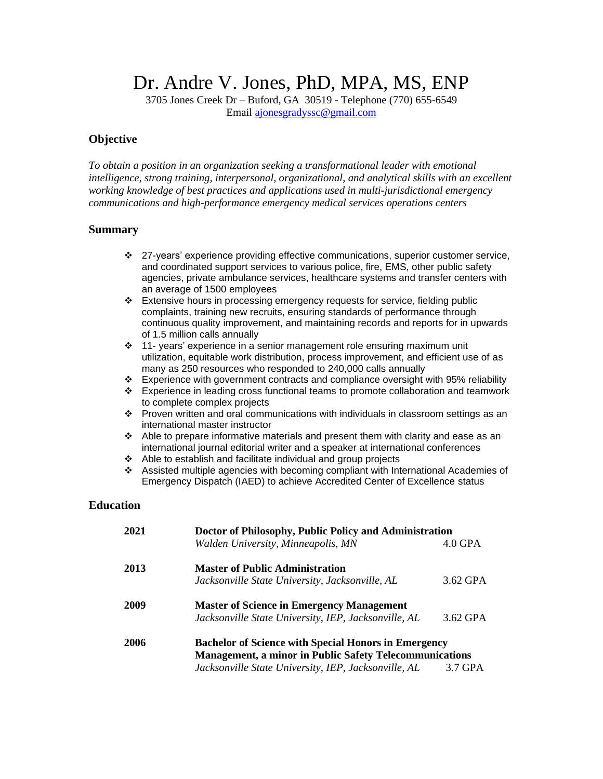Dr. Andre V. Jones, PhD, MPA, MS, ENP

3705 Jones Creek Dr – Buford, GA 30519 - Telephone (770) 655-6549 Email [ajonesgradyssc@gmail.com](mailto:ajonesgradyssc@gmail.com)

#### **Objective**

*To obtain a position in an organization seeking a transformational leader with emotional intelligence, strong training, interpersonal, organizational, and analytical skills with an excellent working knowledge of best practices and applications used in multi-jurisdictional emergency communications and high-performance emergency medical services operations centers* 

#### **Summary**

- ❖ 27-years' experience providing effective communications, superior customer service, and coordinated support services to various police, fire, EMS, other public safety agencies, private ambulance services, healthcare systems and transfer centers with an average of 1500 employees
- ❖ Extensive hours in processing emergency requests for service, fielding public complaints, training new recruits, ensuring standards of performance through continuous quality improvement, and maintaining records and reports for in upwards of 1.5 million calls annually
- ❖ 11- years' experience in a senior management role ensuring maximum unit utilization, equitable work distribution, process improvement, and efficient use of as many as 250 resources who responded to 240,000 calls annually
- ❖ Experience with government contracts and compliance oversight with 95% reliability
- ❖ Experience in leading cross functional teams to promote collaboration and teamwork to complete complex projects
- ❖ Proven written and oral communications with individuals in classroom settings as an international master instructor
- ❖ Able to prepare informative materials and present them with clarity and ease as an international journal editorial writer and a speaker at international conferences
- ❖ Able to establish and facilitate individual and group projects
- ❖ Assisted multiple agencies with becoming compliant with International Academies of Emergency Dispatch (IAED) to achieve Accredited Center of Excellence status

### **Education**

| 2021 | Doctor of Philosophy, Public Policy and Administration         |           |
|------|----------------------------------------------------------------|-----------|
|      | Walden University, Minneapolis, MN                             | $4.0$ GPA |
| 2013 | <b>Master of Public Administration</b>                         |           |
|      | Jacksonville State University, Jacksonville, AL                | 3.62 GPA  |
| 2009 | <b>Master of Science in Emergency Management</b>               |           |
|      | Jacksonville State University, IEP, Jacksonville, AL           | 3.62 GPA  |
| 2006 | <b>Bachelor of Science with Special Honors in Emergency</b>    |           |
|      | <b>Management, a minor in Public Safety Telecommunications</b> |           |
|      | Jacksonville State University, IEP, Jacksonville, AL           | 3.7 GPA   |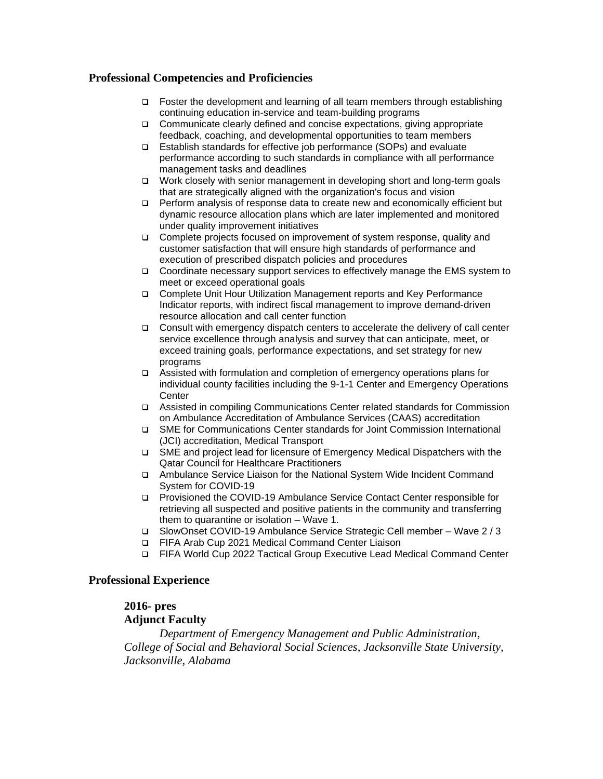## **Professional Competencies and Proficiencies**

- ❑ Foster the development and learning of all team members through establishing continuing education in-service and team-building programs
- ❑ Communicate clearly defined and concise expectations, giving appropriate feedback, coaching, and developmental opportunities to team members
- ❑ Establish standards for effective job performance (SOPs) and evaluate performance according to such standards in compliance with all performance management tasks and deadlines
- ❑ Work closely with senior management in developing short and long-term goals that are strategically aligned with the organization's focus and vision
- ❑ Perform analysis of response data to create new and economically efficient but dynamic resource allocation plans which are later implemented and monitored under quality improvement initiatives
- ❑ Complete projects focused on improvement of system response, quality and customer satisfaction that will ensure high standards of performance and execution of prescribed dispatch policies and procedures
- ❑ Coordinate necessary support services to effectively manage the EMS system to meet or exceed operational goals
- ❑ Complete Unit Hour Utilization Management reports and Key Performance Indicator reports, with indirect fiscal management to improve demand-driven resource allocation and call center function
- ❑ Consult with emergency dispatch centers to accelerate the delivery of call center service excellence through analysis and survey that can anticipate, meet, or exceed training goals, performance expectations, and set strategy for new programs
- ❑ Assisted with formulation and completion of emergency operations plans for individual county facilities including the 9-1-1 Center and Emergency Operations **Center**
- ❑ Assisted in compiling Communications Center related standards for Commission on Ambulance Accreditation of Ambulance Services (CAAS) accreditation
- ❑ SME for Communications Center standards for Joint Commission International (JCI) accreditation, Medical Transport
- ❑ SME and project lead for licensure of Emergency Medical Dispatchers with the Qatar Council for Healthcare Practitioners
- ❑ Ambulance Service Liaison for the National System Wide Incident Command System for COVID-19
- ❑ Provisioned the COVID-19 Ambulance Service Contact Center responsible for retrieving all suspected and positive patients in the community and transferring them to quarantine or isolation – Wave 1.
- ❑ SlowOnset COVID-19 Ambulance Service Strategic Cell member Wave 2 / 3
- ❑ FIFA Arab Cup 2021 Medical Command Center Liaison
- ❑ FIFA World Cup 2022 Tactical Group Executive Lead Medical Command Center

### **Professional Experience**

## **2016- pres Adjunct Faculty**

*Department of Emergency Management and Public Administration, College of Social and Behavioral Social Sciences, Jacksonville State University, Jacksonville, Alabama*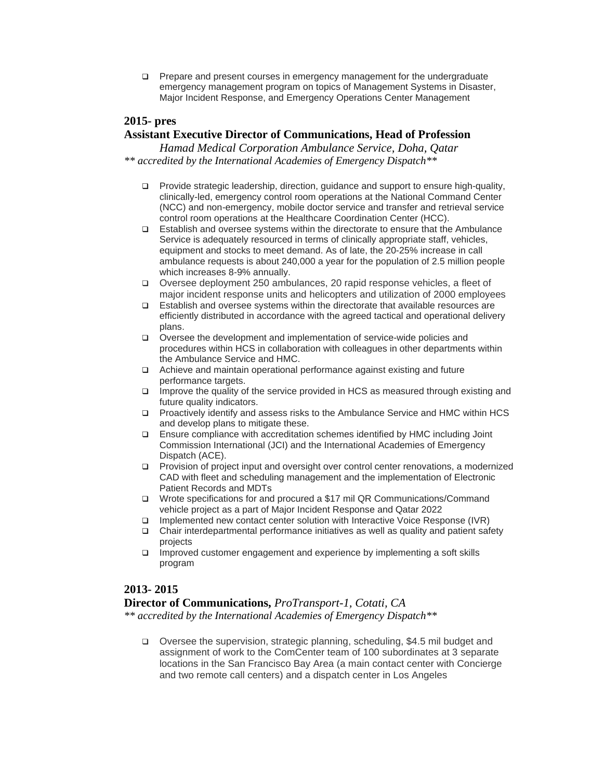❑ Prepare and present courses in emergency management for the undergraduate emergency management program on topics of Management Systems in Disaster, Major Incident Response, and Emergency Operations Center Management

### **2015- pres**

## **Assistant Executive Director of Communications, Head of Profession**

*Hamad Medical Corporation Ambulance Service, Doha, Qatar \*\* accredited by the International Academies of Emergency Dispatch\*\**

- ❑ Provide strategic leadership, direction, guidance and support to ensure high-quality, clinically-led, emergency control room operations at the National Command Center (NCC) and non-emergency, mobile doctor service and transfer and retrieval service control room operations at the Healthcare Coordination Center (HCC).
- ❑ Establish and oversee systems within the directorate to ensure that the Ambulance Service is adequately resourced in terms of clinically appropriate staff, vehicles, equipment and stocks to meet demand. As of late, the 20-25% increase in call ambulance requests is about 240,000 a year for the population of 2.5 million people which increases 8-9% annually.
- ❑ Oversee deployment 250 ambulances, 20 rapid response vehicles, a fleet of major incident response units and helicopters and utilization of 2000 employees
- ❑ Establish and oversee systems within the directorate that available resources are efficiently distributed in accordance with the agreed tactical and operational delivery plans.
- ❑ Oversee the development and implementation of service-wide policies and procedures within HCS in collaboration with colleagues in other departments within the Ambulance Service and HMC.
- ❑ Achieve and maintain operational performance against existing and future performance targets.
- ❑ Improve the quality of the service provided in HCS as measured through existing and future quality indicators.
- ❑ Proactively identify and assess risks to the Ambulance Service and HMC within HCS and develop plans to mitigate these.
- ❑ Ensure compliance with accreditation schemes identified by HMC including Joint Commission International (JCI) and the International Academies of Emergency Dispatch (ACE).
- ❑ Provision of project input and oversight over control center renovations, a modernized CAD with fleet and scheduling management and the implementation of Electronic Patient Records and MDTs
- ❑ Wrote specifications for and procured a \$17 mil QR Communications/Command vehicle project as a part of Major Incident Response and Qatar 2022
- 
- **□** Implemented new contact center solution with Interactive Voice Response (IVR)<br>
□ Chair interdepartmental performance initiatives as well as quality and patient saf ❑ Chair interdepartmental performance initiatives as well as quality and patient safety projects
- ❑ Improved customer engagement and experience by implementing a soft skills program

### **2013- 2015**

#### **Director of Communications,** *ProTransport-1, Cotati, CA*

*\*\* accredited by the International Academies of Emergency Dispatch\*\**

❑ Oversee the supervision, strategic planning, scheduling, \$4.5 mil budget and assignment of work to the ComCenter team of 100 subordinates at 3 separate locations in the San Francisco Bay Area (a main contact center with Concierge and two remote call centers) and a dispatch center in Los Angeles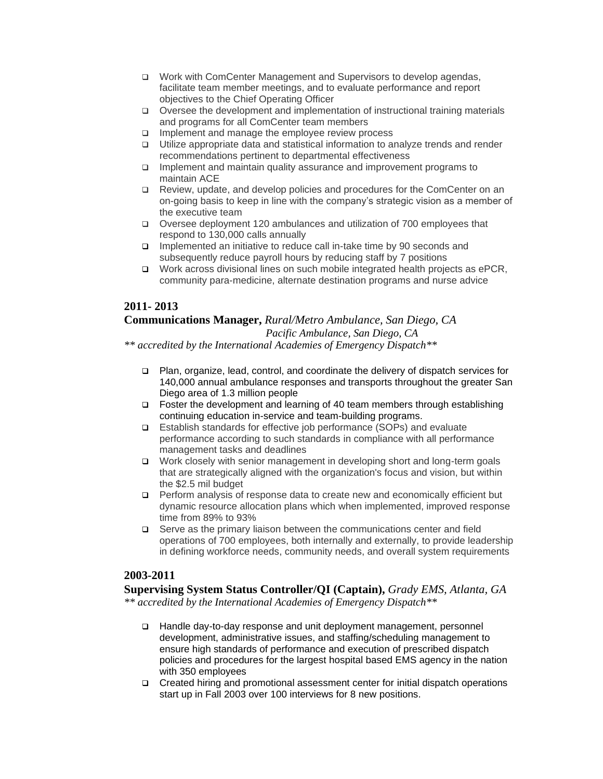- ❑ Work with ComCenter Management and Supervisors to develop agendas, facilitate team member meetings, and to evaluate performance and report objectives to the Chief Operating Officer
- ❑ Oversee the development and implementation of instructional training materials and programs for all ComCenter team members
- ❑ Implement and manage the employee review process
- ❑ Utilize appropriate data and statistical information to analyze trends and render recommendations pertinent to departmental effectiveness
- ❑ Implement and maintain quality assurance and improvement programs to maintain ACE
- ❑ Review, update, and develop policies and procedures for the ComCenter on an on-going basis to keep in line with the company's strategic vision as a member of the executive team
- ❑ Oversee deployment 120 ambulances and utilization of 700 employees that respond to 130,000 calls annually
- ❑ Implemented an initiative to reduce call in-take time by 90 seconds and subsequently reduce payroll hours by reducing staff by 7 positions
- ❑ Work across divisional lines on such mobile integrated health projects as ePCR, community para-medicine, alternate destination programs and nurse advice

## **2011- 2013**

#### **Communications Manager,** *Rural/Metro Ambulance, San Diego, CA Pacific Ambulance, San Diego, CA*

*\*\* accredited by the International Academies of Emergency Dispatch\*\**

- ❑ Plan, organize, lead, control, and coordinate the delivery of dispatch services for 140,000 annual ambulance responses and transports throughout the greater San Diego area of 1.3 million people
- ❑ Foster the development and learning of 40 team members through establishing continuing education in-service and team-building programs.
- ❑ Establish standards for effective job performance (SOPs) and evaluate performance according to such standards in compliance with all performance management tasks and deadlines
- ❑ Work closely with senior management in developing short and long-term goals that are strategically aligned with the organization's focus and vision, but within the \$2.5 mil budget
- ❑ Perform analysis of response data to create new and economically efficient but dynamic resource allocation plans which when implemented, improved response time from 89% to 93%
- ❑ Serve as the primary liaison between the communications center and field operations of 700 employees, both internally and externally, to provide leadership in defining workforce needs, community needs, and overall system requirements

### **2003-2011**

**Supervising System Status Controller/QI (Captain),** *Grady EMS, Atlanta, GA \*\* accredited by the International Academies of Emergency Dispatch\*\**

- ❑ Handle day-to-day response and unit deployment management, personnel development, administrative issues, and staffing/scheduling management to ensure high standards of performance and execution of prescribed dispatch policies and procedures for the largest hospital based EMS agency in the nation with 350 employees
- ❑ Created hiring and promotional assessment center for initial dispatch operations start up in Fall 2003 over 100 interviews for 8 new positions.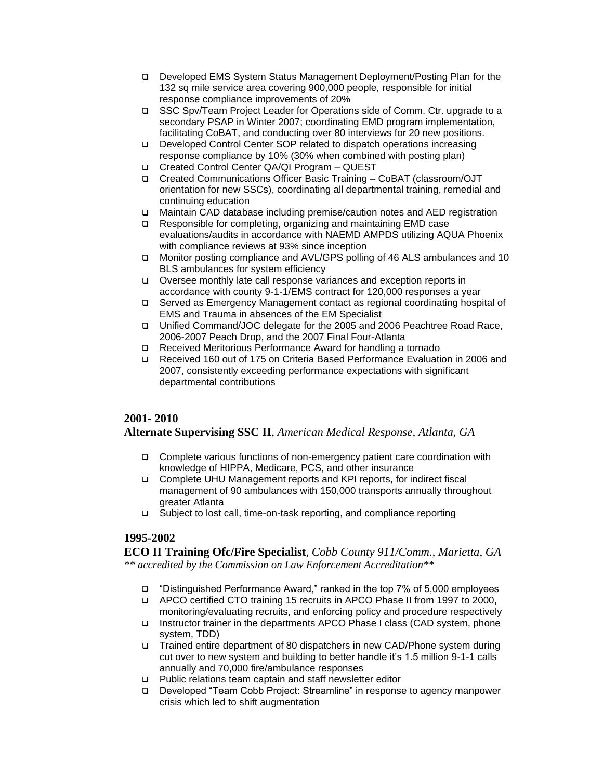- ❑ Developed EMS System Status Management Deployment/Posting Plan for the 132 sq mile service area covering 900,000 people, responsible for initial response compliance improvements of 20%
- ❑ SSC Spv/Team Project Leader for Operations side of Comm. Ctr. upgrade to a secondary PSAP in Winter 2007; coordinating EMD program implementation, facilitating CoBAT, and conducting over 80 interviews for 20 new positions.
- ❑ Developed Control Center SOP related to dispatch operations increasing response compliance by 10% (30% when combined with posting plan)
- ❑ Created Control Center QA/QI Program QUEST
- ❑ Created Communications Officer Basic Training CoBAT (classroom/OJT orientation for new SSCs), coordinating all departmental training, remedial and continuing education
- ❑ Maintain CAD database including premise/caution notes and AED registration
- ❑ Responsible for completing, organizing and maintaining EMD case evaluations/audits in accordance with NAEMD AMPDS utilizing AQUA Phoenix with compliance reviews at 93% since inception
- ❑ Monitor posting compliance and AVL/GPS polling of 46 ALS ambulances and 10 BLS ambulances for system efficiency
- ❑ Oversee monthly late call response variances and exception reports in accordance with county 9-1-1/EMS contract for 120,000 responses a year
- ❑ Served as Emergency Management contact as regional coordinating hospital of EMS and Trauma in absences of the EM Specialist
- ❑ Unified Command/JOC delegate for the 2005 and 2006 Peachtree Road Race, 2006-2007 Peach Drop, and the 2007 Final Four-Atlanta
- ❑ Received Meritorious Performance Award for handling a tornado
- ❑ Received 160 out of 175 on Criteria Based Performance Evaluation in 2006 and 2007, consistently exceeding performance expectations with significant departmental contributions

## **2001- 2010**

## **Alternate Supervising SSC II**, *American Medical Response, Atlanta, GA*

- ❑ Complete various functions of non-emergency patient care coordination with knowledge of HIPPA, Medicare, PCS, and other insurance
- ❑ Complete UHU Management reports and KPI reports, for indirect fiscal management of 90 ambulances with 150,000 transports annually throughout greater Atlanta
- ❑ Subject to lost call, time-on-task reporting, and compliance reporting

# **1995-2002**

**ECO II Training Ofc/Fire Specialist**, *Cobb County 911/Comm., Marietta, GA \*\* accredited by the Commission on Law Enforcement Accreditation\*\**

- ❑ "Distinguished Performance Award," ranked in the top 7% of 5,000 employees
- ❑ APCO certified CTO training 15 recruits in APCO Phase II from 1997 to 2000, monitoring/evaluating recruits, and enforcing policy and procedure respectively
- ❑ Instructor trainer in the departments APCO Phase I class (CAD system, phone system, TDD)
- ❑ Trained entire department of 80 dispatchers in new CAD/Phone system during cut over to new system and building to better handle it's 1.5 million 9-1-1 calls annually and 70,000 fire/ambulance responses
- ❑ Public relations team captain and staff newsletter editor
- ❑ Developed "Team Cobb Project: Streamline" in response to agency manpower crisis which led to shift augmentation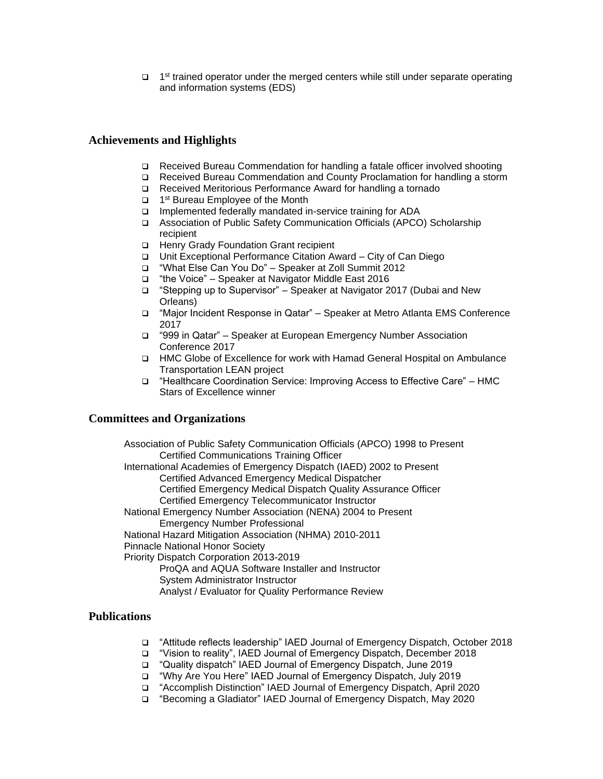□ 1<sup>st</sup> trained operator under the merged centers while still under separate operating and information systems (EDS)

### **Achievements and Highlights**

- ❑ Received Bureau Commendation for handling a fatale officer involved shooting
- ❑ Received Bureau Commendation and County Proclamation for handling a storm
- ❑ Received Meritorious Performance Award for handling a tornado
- ❑ 1 st Bureau Employee of the Month
- ❑ Implemented federally mandated in-service training for ADA
- ❑ Association of Public Safety Communication Officials (APCO) Scholarship recipient
- ❑ Henry Grady Foundation Grant recipient
- ❑ Unit Exceptional Performance Citation Award City of Can Diego
- ❑ "What Else Can You Do" Speaker at Zoll Summit 2012
- ❑ "the Voice" Speaker at Navigator Middle East 2016
- ❑ "Stepping up to Supervisor" Speaker at Navigator 2017 (Dubai and New Orleans)
- ❑ "Major Incident Response in Qatar" Speaker at Metro Atlanta EMS Conference 2017
- ❑ "999 in Qatar" Speaker at European Emergency Number Association Conference 2017
- ❑ HMC Globe of Excellence for work with Hamad General Hospital on Ambulance Transportation LEAN project
- ❑ "Healthcare Coordination Service: Improving Access to Effective Care" HMC Stars of Excellence winner

#### **Committees and Organizations**

Association of Public Safety Communication Officials (APCO) 1998 to Present Certified Communications Training Officer International Academies of Emergency Dispatch (IAED) 2002 to Present Certified Advanced Emergency Medical Dispatcher Certified Emergency Medical Dispatch Quality Assurance Officer Certified Emergency Telecommunicator Instructor National Emergency Number Association (NENA) 2004 to Present Emergency Number Professional National Hazard Mitigation Association (NHMA) 2010-2011 Pinnacle National Honor Society Priority Dispatch Corporation 2013-2019 ProQA and AQUA Software Installer and Instructor System Administrator Instructor Analyst / Evaluator for Quality Performance Review

### **Publications**

- ❑ "Attitude reflects leadership" IAED Journal of Emergency Dispatch, October 2018
- ❑ "Vision to reality", IAED Journal of Emergency Dispatch, December 2018
- ❑ "Quality dispatch" IAED Journal of Emergency Dispatch, June 2019
- ❑ "Why Are You Here" IAED Journal of Emergency Dispatch, July 2019
- ❑ "Accomplish Distinction" IAED Journal of Emergency Dispatch, April 2020
- ❑ "Becoming a Gladiator" IAED Journal of Emergency Dispatch, May 2020